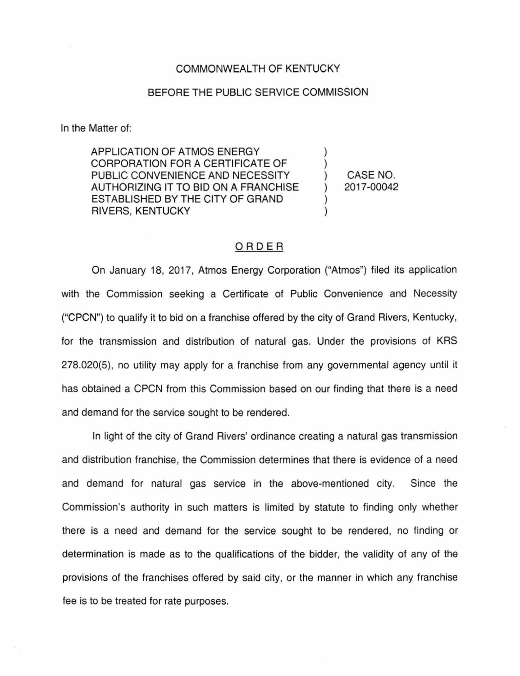## COMMONWEALTH OF KENTUCKY

## BEFORE THE PUBLIC SERVICE COMMISSION

In the Matter of:

APPLICATION OF ATMOS ENERGY CORPORATION FOR A CERTIFICATE OF PUBLIC CONVENIENCE AND NECESSITY AUTHORIZING IT TO BID ON A FRANCHISE ESTABLISHED BY THE CITY OF GRAND RIVERS, KENTUCKY

) CASE NO. ) 2017-00042

) )

) )

## ORDER

On January 18, 2017, Atmos Energy Corporation ("Atmos") filed its application with the Commission seeking a Certificate of Public Convenience and Necessity ("CPCN") to qualify it to bid on a franchise offered by the city of Grand Rivers, Kentucky, for the transmission and distribution of natural gas. Under the provisions of KRS 278.020(5), no utility may apply for a franchise from any governmental agency until it has obtained a CPCN from this Commission based on our finding that there is a need and demand for the service sought to be rendered.

In light of the city of Grand Rivers' ordinance creating a natural gas transmission and distribution franchise, the Commission determines that there is evidence of a need and demand for natural gas service in the above-mentioned city. Since the Commission's authority in such matters is limited by statute to finding only whether there is a need and demand for the service sought to be rendered, no finding or determination is made as to the qualifications of the bidder, the validity of any of the provisions of the franchises offered by said city, or the manner in which any franchise fee is to be treated for rate purposes.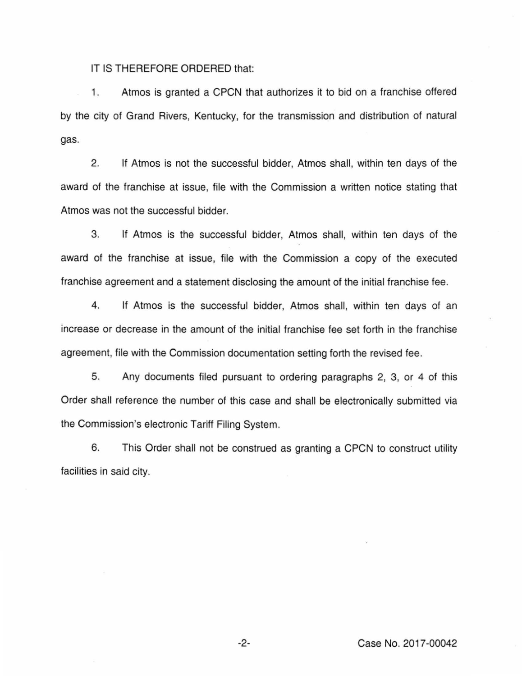IT IS THEREFORE ORDERED that:

1. Atmos is granted a CPCN that authorizes it to bid on a franchise offered by the city of Grand Rivers, Kentucky, for the transmission and distribution of natural gas.

2. If Atmos is not the successful bidder, Atmos shall, within ten days of the award of the franchise at issue, file with the Commission a written notice stating that Atmos was not the successful bidder.

3. If Atmos is the successful bidder, Atmos shall, within ten days of the award of the franchise at issue, file with the Commission a copy of the executed franchise agreement and a statement disclosing the amount of the initial franchise fee.

4. If Atmos is the successful bidder, Atmos shall, within ten days of an increase or decrease in the amount of the initial franchise fee set forth in the franchise agreement, file with the Commission documentation setting forth the revised fee.

5. Any documents filed pursuant to ordering paragraphs 2, 3, or 4 of this Order shall reference the number of this case and shall be electronically submitted via the Commission's electronic Tariff Filing System.

6. This Order shall not be construed as granting a CPCN to construct utility facilities in said city.

-2- Case No. 2017-00042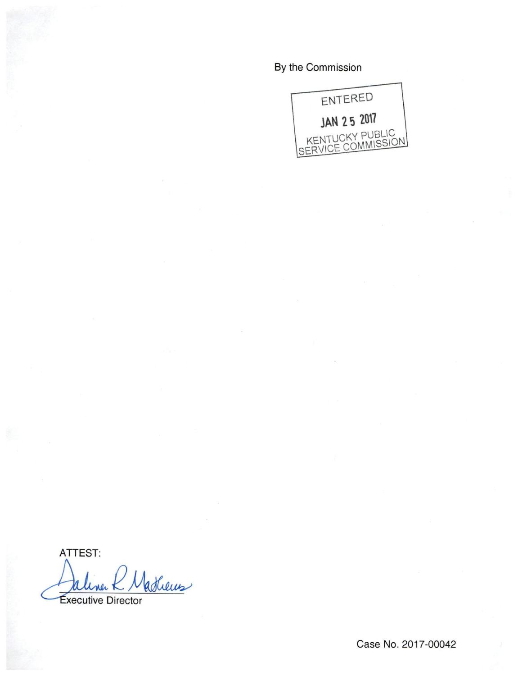By the Commission



ATTEST:

Jathers

**Executive Director**